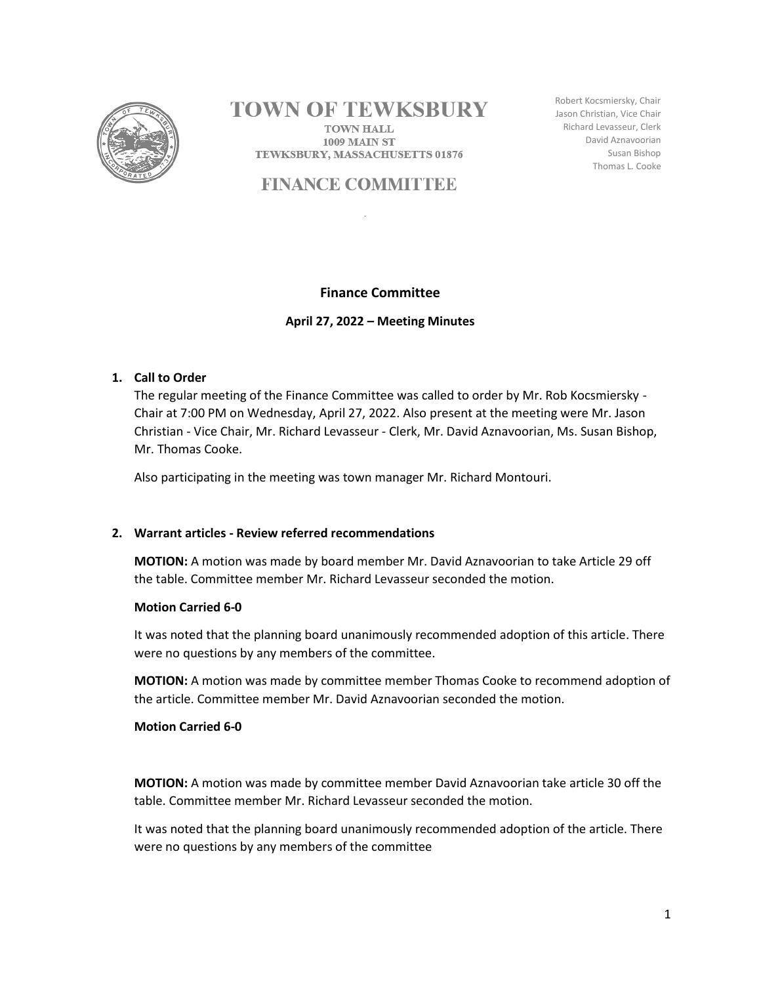

# **TOWN OF TEWKSBURY**

**TOWN HALL 1009 MAIN ST** TEWKSBURY, MASSACHUSETTS 01876

# **FINANCE COMMITTEE**

Robert Kocsmiersky, Chair Jason Christian, Vice Chair Richard Levasseur, Clerk David Aznavoorian Susan Bishop Thomas L. Cooke

## **Finance Committee**

**April 27, 2022 – Meeting Minutes**

## **1. Call to Order**

The regular meeting of the Finance Committee was called to order by Mr. Rob Kocsmiersky - Chair at 7:00 PM on Wednesday, April 27, 2022. Also present at the meeting were Mr. Jason Christian - Vice Chair, Mr. Richard Levasseur - Clerk, Mr. David Aznavoorian, Ms. Susan Bishop, Mr. Thomas Cooke.

Also participating in the meeting was town manager Mr. Richard Montouri.

## **2. Warrant articles - Review referred recommendations**

**MOTION:** A motion was made by board member Mr. David Aznavoorian to take Article 29 off the table. Committee member Mr. Richard Levasseur seconded the motion.

#### **Motion Carried 6-0**

It was noted that the planning board unanimously recommended adoption of this article. There were no questions by any members of the committee.

**MOTION:** A motion was made by committee member Thomas Cooke to recommend adoption of the article. Committee member Mr. David Aznavoorian seconded the motion.

#### **Motion Carried 6-0**

**MOTION:** A motion was made by committee member David Aznavoorian take article 30 off the table. Committee member Mr. Richard Levasseur seconded the motion.

It was noted that the planning board unanimously recommended adoption of the article. There were no questions by any members of the committee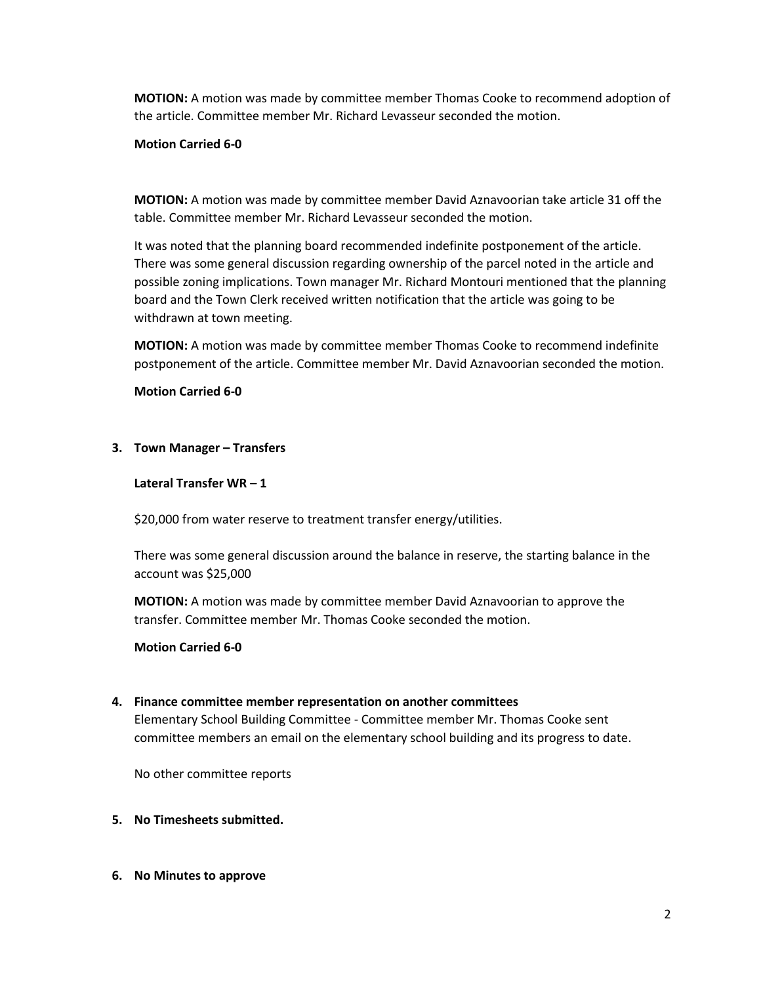**MOTION:** A motion was made by committee member Thomas Cooke to recommend adoption of the article. Committee member Mr. Richard Levasseur seconded the motion.

# **Motion Carried 6-0**

**MOTION:** A motion was made by committee member David Aznavoorian take article 31 off the table. Committee member Mr. Richard Levasseur seconded the motion.

It was noted that the planning board recommended indefinite postponement of the article. There was some general discussion regarding ownership of the parcel noted in the article and possible zoning implications. Town manager Mr. Richard Montouri mentioned that the planning board and the Town Clerk received written notification that the article was going to be withdrawn at town meeting.

**MOTION:** A motion was made by committee member Thomas Cooke to recommend indefinite postponement of the article. Committee member Mr. David Aznavoorian seconded the motion.

#### **Motion Carried 6-0**

#### **3. Town Manager – Transfers**

#### **Lateral Transfer WR – 1**

\$20,000 from water reserve to treatment transfer energy/utilities.

There was some general discussion around the balance in reserve, the starting balance in the account was \$25,000

**MOTION:** A motion was made by committee member David Aznavoorian to approve the transfer. Committee member Mr. Thomas Cooke seconded the motion.

#### **Motion Carried 6-0**

#### **4. Finance committee member representation on another committees**

Elementary School Building Committee - Committee member Mr. Thomas Cooke sent committee members an email on the elementary school building and its progress to date.

No other committee reports

- **5. No Timesheets submitted.**
- **6. No Minutes to approve**